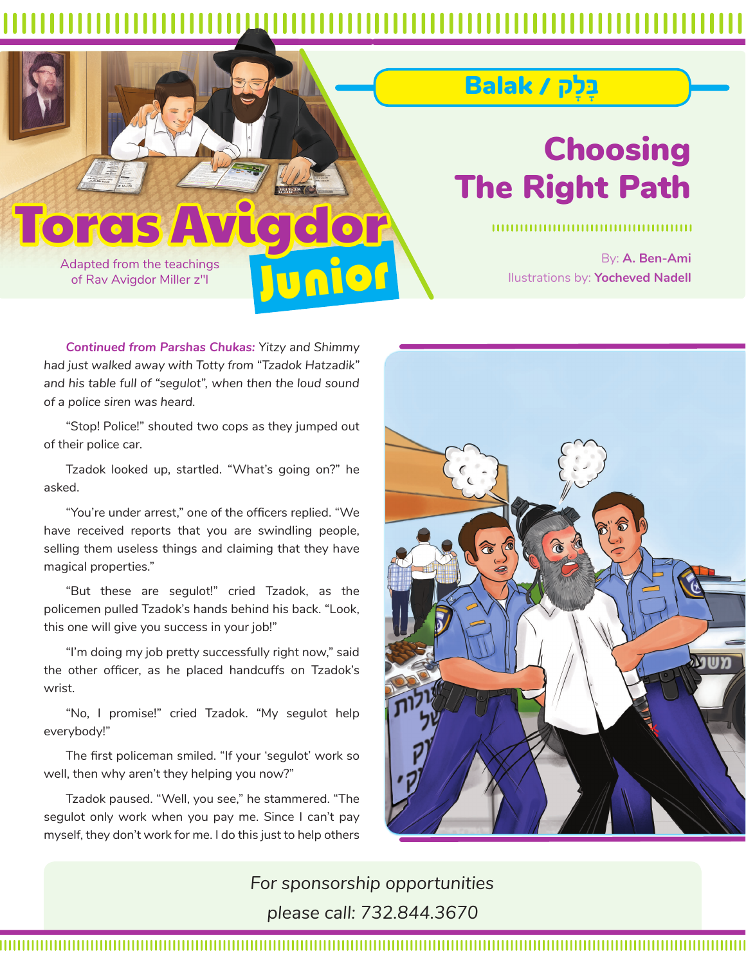nior

## ָּבָל˜ / Balak

# Choosing The Right Path

By: **A. Ben-Ami** llustrations by: **Yocheved Nadell**

Adapted from the teachings of Rav Avigdor Miller z"l

**Toras** 

*Continued from Parshas Chukas: Yitzy and Shimmy had just walked away with Totty from "Tzadok Hatzadik"*  and his table full of "segulot", when then the loud sound *of a police siren was heard.*

"Stop! Police!" shouted two cops as they jumped out of their police car.

Tzadok looked up, startled. "What's going on?" he asked.

"You're under arrest," one of the officers replied. "We have received reports that you are swindling people, selling them useless things and claiming that they have magical properties."

"But these are segulot!" cried Tzadok, as the policemen pulled Tzadok's hands behind his back. "Look, this one will give you success in your job!"

"I'm doing my job pretty successfully right now," said the other officer, as he placed handcuffs on Tzadok's wrist.

"No, I promise!" cried Tzadok. "My segulot help everybody!"

The first policeman smiled. "If your 'segulot' work so well, then why aren't they helping you now?"

Tzadok paused. "Well, you see," he stammered. "The segulot only work when you pay me. Since I can't pay myself, they don't work for me. I do this just to help others



*For sponsorship opportunities please call: 732.844.3670*